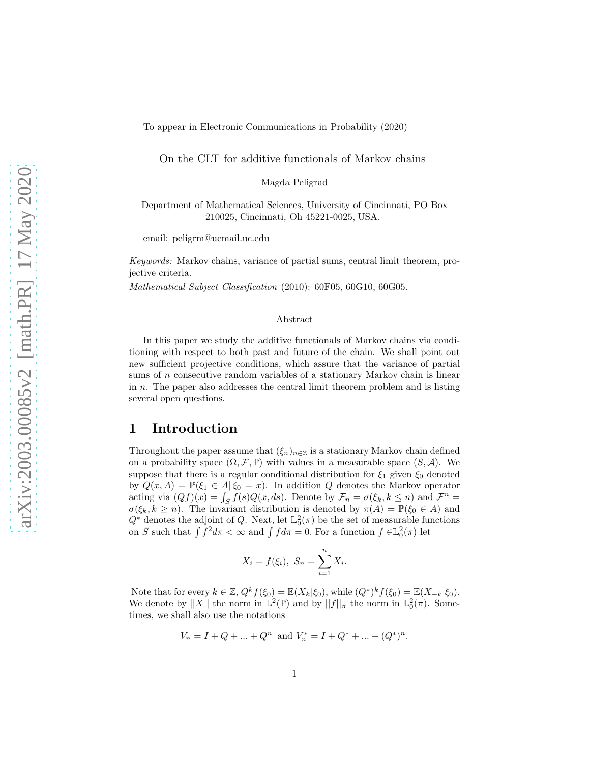To appear in Electronic Communications in Probability (2020)

On the CLT for additive functionals of Markov chains

Magda Peligrad

Department of Mathematical Sciences, University of Cincinnati, PO Box 210025, Cincinnati, Oh 45221-0025, USA.

email: peligrm@ucmail.uc.edu

*Keywords:* Markov chains, variance of partial sums, central limit theorem, projective criteria.

*Mathematical Subject Classification* (2010): 60F05, 60G10, 60G05.

#### Abstract

In this paper we study the additive functionals of Markov chains via conditioning with respect to both past and future of the chain. We shall point out new sufficient projective conditions, which assure that the variance of partial sums of  $n$  consecutive random variables of a stationary Markov chain is linear in n. The paper also addresses the central limit theorem problem and is listing several open questions.

## 1 Introduction

Throughout the paper assume that  $(\xi_n)_{n\in\mathbb{Z}}$  is a stationary Markov chain defined on a probability space  $(\Omega, \mathcal{F}, \mathbb{P})$  with values in a measurable space  $(S, \mathcal{A})$ . We suppose that there is a regular conditional distribution for  $\xi_1$  given  $\xi_0$  denoted by  $Q(x, A) = \mathbb{P}(\xi_1 \in A | \xi_0 = x)$ . In addition Q denotes the Markov operator acting via  $(Qf)(x) = \int_S f(s)Q(x, ds)$ . Denote by  $\mathcal{F}_n = \sigma(\xi_k, k \leq n)$  and  $\mathcal{F}^n =$  $\sigma(\xi_k, k \geq n)$ . The invariant distribution is denoted by  $\pi(A) = \mathbb{P}(\xi_0 \in A)$  and  $Q^*$  denotes the adjoint of Q. Next, let  $\mathbb{L}^2_0(\pi)$  be the set of measurable functions on S such that  $\int f^2 d\pi < \infty$  and  $\int f d\pi = 0$ . For a function  $f \in L_0^2(\pi)$  let

$$
X_i = f(\xi_i), S_n = \sum_{i=1}^n X_i.
$$

Note that for every  $k \in \mathbb{Z}$ ,  $Q^k f(\xi_0) = \mathbb{E}(X_k | \xi_0)$ , while  $(Q^*)^k f(\xi_0) = \mathbb{E}(X_{-k} | \xi_0)$ . We denote by  $||X||$  the norm in  $\mathbb{L}^2(\mathbb{P})$  and by  $||f||_{\pi}$  the norm in  $\mathbb{L}^2_0(\pi)$ . Sometimes, we shall also use the notations

$$
V_n = I + Q + \dots + Q^n
$$
 and  $V_n^* = I + Q^* + \dots + (Q^*)^n$ .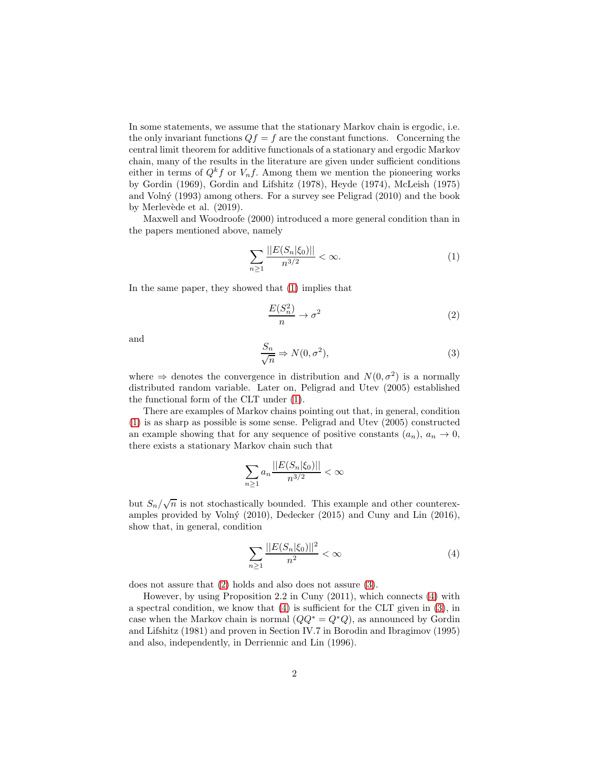In some statements, we assume that the stationary Markov chain is ergodic, i.e. the only invariant functions  $Qf = f$  are the constant functions. Concerning the central limit theorem for additive functionals of a stationary and ergodic Markov chain, many of the results in the literature are given under sufficient conditions either in terms of  $Q^k f$  or  $V_n f$ . Among them we mention the pioneering works by Gordin (1969), Gordin and Lifshitz (1978), Heyde (1974), McLeish (1975) and Volný  $(1993)$  among others. For a survey see Peligrad  $(2010)$  and the book by Merlevède et al.  $(2019)$ .

Maxwell and Woodroofe (2000) introduced a more general condition than in the papers mentioned above, namely

<span id="page-1-0"></span>
$$
\sum_{n\geq 1} \frac{||E(S_n|\xi_0)||}{n^{3/2}} < \infty. \tag{1}
$$

In the same paper, they showed that [\(1\)](#page-1-0) implies that

<span id="page-1-1"></span>
$$
\frac{E(S_n^2)}{n} \to \sigma^2 \tag{2}
$$

and

<span id="page-1-2"></span>
$$
\frac{S_n}{\sqrt{n}} \Rightarrow N(0, \sigma^2),\tag{3}
$$

where  $\Rightarrow$  denotes the convergence in distribution and  $N(0, \sigma^2)$  is a normally distributed random variable. Later on, Peligrad and Utev (2005) established the functional form of the CLT under [\(1\)](#page-1-0).

There are examples of Markov chains pointing out that, in general, condition [\(1\)](#page-1-0) is as sharp as possible is some sense. Peligrad and Utev (2005) constructed an example showing that for any sequence of positive constants  $(a_n)$ ,  $a_n \to 0$ , there exists a stationary Markov chain such that

$$
\sum_{n\geq 1} a_n \frac{||E(S_n|\xi_0)||}{n^{3/2}} < \infty
$$

but  $S_n/\sqrt{n}$  is not stochastically bounded. This example and other counterexamples provided by Volný (2010), Dedecker (2015) and Cuny and Lin  $(2016)$ , show that, in general, condition

<span id="page-1-3"></span>
$$
\sum_{n\geq 1} \frac{||E(S_n|\xi_0)||^2}{n^2} < \infty \tag{4}
$$

does not assure that [\(2\)](#page-1-1) holds and also does not assure [\(3\)](#page-1-2).

<span id="page-1-4"></span>However, by using Proposition 2.2 in Cuny (2011), which connects [\(4\)](#page-1-3) with a spectral condition, we know that  $(4)$  is sufficient for the CLT given in  $(3)$ , in case when the Markov chain is normal  $(QQ^* = Q^*Q)$ , as announced by Gordin and Lifshitz (1981) and proven in Section IV.7 in Borodin and Ibragimov (1995) and also, independently, in Derriennic and Lin (1996).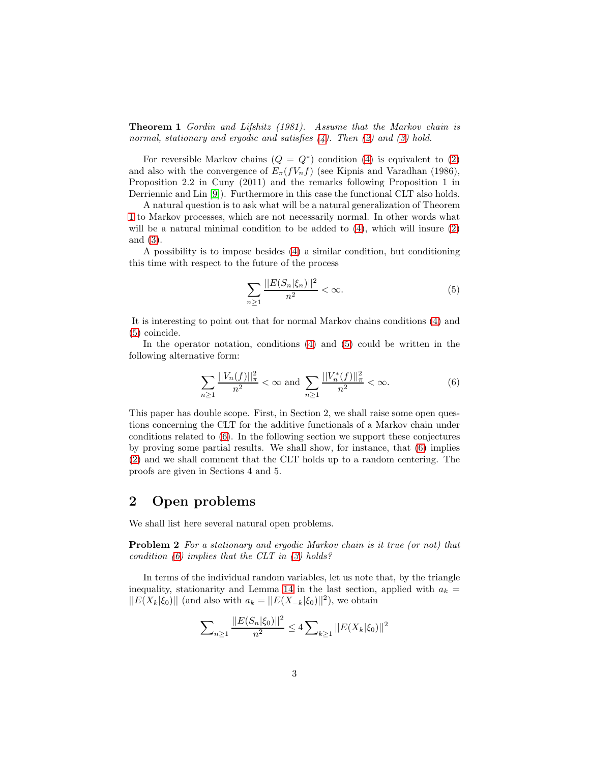Theorem 1 *Gordin and Lifshitz (1981). Assume that the Markov chain is normal, stationary and ergodic and satisfies [\(4\)](#page-1-3). Then [\(2\)](#page-1-1) and [\(3\)](#page-1-2) hold.*

For reversible Markov chains  $(Q = Q^*)$  condition [\(4\)](#page-1-3) is equivalent to [\(2\)](#page-1-1) and also with the convergence of  $E_{\pi}(fV_nf)$  (see Kipnis and Varadhan (1986), Proposition 2.2 in Cuny (2011) and the remarks following Proposition 1 in Derriennic and Lin [\[9\]](#page-10-0)). Furthermore in this case the functional CLT also holds.

A natural question is to ask what will be a natural generalization of Theorem [1](#page-1-4) to Markov processes, which are not necessarily normal. In other words what will be a natural minimal condition to be added to  $(4)$ , which will insure  $(2)$ and [\(3\)](#page-1-2).

A possibility is to impose besides [\(4\)](#page-1-3) a similar condition, but conditioning this time with respect to the future of the process

<span id="page-2-0"></span>
$$
\sum_{n\geq 1} \frac{||E(S_n|\xi_n)||^2}{n^2} < \infty. \tag{5}
$$

It is interesting to point out that for normal Markov chains conditions [\(4\)](#page-1-3) and [\(5\)](#page-2-0) coincide.

In the operator notation, conditions [\(4\)](#page-1-3) and [\(5\)](#page-2-0) could be written in the following alternative form:

<span id="page-2-1"></span>
$$
\sum_{n\geq 1} \frac{||V_n(f)||_{\pi}^2}{n^2} < \infty \text{ and } \sum_{n\geq 1} \frac{||V_n^*(f)||_{\pi}^2}{n^2} < \infty. \tag{6}
$$

This paper has double scope. First, in Section 2, we shall raise some open questions concerning the CLT for the additive functionals of a Markov chain under conditions related to [\(6\)](#page-2-1). In the following section we support these conjectures by proving some partial results. We shall show, for instance, that [\(6\)](#page-2-1) implies [\(2\)](#page-1-1) and we shall comment that the CLT holds up to a random centering. The proofs are given in Sections 4 and 5.

## 2 Open problems

<span id="page-2-2"></span>We shall list here several natural open problems.

Problem 2 *For a stationary and ergodic Markov chain is it true (or not) that condition [\(6\)](#page-2-1) implies that the CLT in [\(3\)](#page-1-2) holds?*

In terms of the individual random variables, let us note that, by the triangle inequality, stationarity and Lemma [14](#page-9-0) in the last section, applied with  $a_k =$  $||E(X_k|\xi_0)||$  (and also with  $a_k = ||E(X_{-k}|\xi_0)||^2$ ), we obtain

$$
\sum_{n\geq 1} \frac{||E(S_n|\xi_0)||^2}{n^2} \leq 4 \sum_{k\geq 1} ||E(X_k|\xi_0)||^2
$$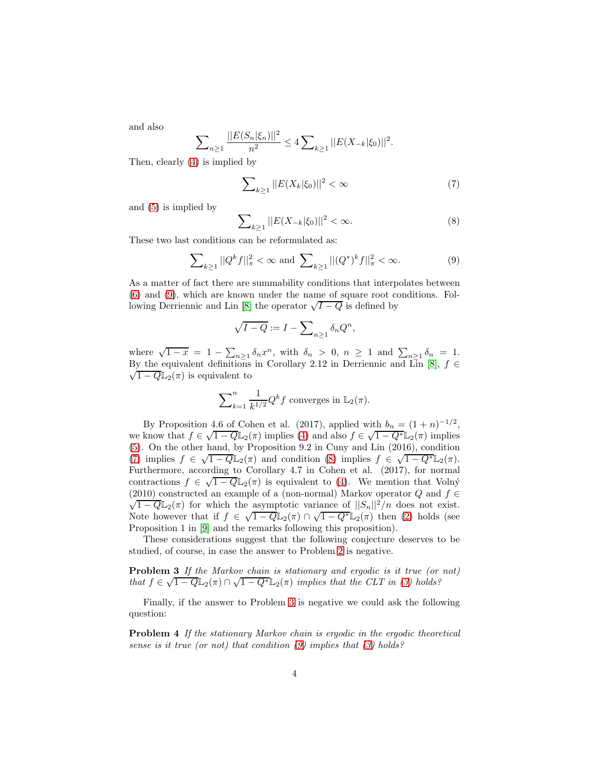and also

$$
\sum_{n\geq 1} \frac{||E(S_n|\xi_n)||^2}{n^2} \leq 4 \sum_{k\geq 1} ||E(X_{-k}|\xi_0)||^2.
$$

Then, clearly [\(4\)](#page-1-3) is implied by

<span id="page-3-1"></span>
$$
\sum_{k\geq 1}||E(X_k|\xi_0)||^2 < \infty \tag{7}
$$

and [\(5\)](#page-2-0) is implied by

<span id="page-3-2"></span>
$$
\sum_{k\geq 1} ||E(X_{-k}|\xi_0)||^2 < \infty. \tag{8}
$$

These two last conditions can be reformulated as:

<span id="page-3-0"></span>
$$
\sum_{k\geq 1} ||Q^k f||^2_{\pi} < \infty \text{ and } \sum_{k\geq 1} ||(Q^*)^k f||^2_{\pi} < \infty.
$$
 (9)

As a matter of fact there are summability conditions that interpolates between [\(6\)](#page-2-1) and [\(9\)](#page-3-0), which are known under the name of square root conditions. Fol-lowing Derriennic and Lin [\[8\]](#page-10-1) the operator  $\sqrt{I-Q}$  is defined by

$$
\sqrt{I-Q} := I - \sum_{n\geq 1} \delta_n Q^n,
$$

where  $\sqrt{1-x} = 1 - \sum_{n\geq 1} \delta_n x^n$ , with  $\delta_n > 0$ ,  $n \geq 1$  and  $\sum_{n\geq 1} \delta_n = 1$ . By the equivalent definitions in Corollary 2.12 in Derriennic and Lin [\[8\]](#page-10-1),  $f \in$  $\sqrt{1-Q} \mathbb{L}_2(\pi)$  is equivalent to

$$
\sum_{k=1}^{n} \frac{1}{k^{1/2}} Q^{k} f
$$
 converges in  $\mathbb{L}_{2}(\pi)$ .

By Proposition 4.6 of Cohen et al. (2017), applied with  $b_n = (1 + n)^{-1/2}$ , we know that  $f \in \sqrt{1-Q}\mathbb{L}_2(\pi)$  implies [\(4\)](#page-1-3) and also  $f \in \sqrt{1-Q^*}\mathbb{L}_2(\pi)$  implies [\(5\)](#page-2-0). On the other hand, by Proposition 9.2 in Cuny and Lin (2016), condition [\(7\)](#page-3-1) implies  $f \in \sqrt{1-Q}\mathbb{L}_2(\pi)$  and condition [\(8\)](#page-3-2) implies  $f \in \sqrt{1-Q^*}\mathbb{L}_2(\pi)$ . Furthermore, according to Corollary 4.7 in Cohen et al. (2017), for normal contractions  $f \in \sqrt{1-Q} \mathbb{L}_2(\pi)$  is equivalent to [\(4\)](#page-1-3). We mention that Volný (2010) constructed an example of a (non-normal) Markov operator Q and  $f \in$  $\sqrt{1-Q}\mathbb{L}_2(\pi)$  for which the asymptotic variance of  $||S_n||^2/n$  does not exist. Note however that if  $f \in \sqrt{1-Q} \mathbb{L}_2(\pi) \cap \sqrt{1-Q^*} \mathbb{L}_2(\pi)$  then [\(2\)](#page-1-1) holds (see Proposition 1 in [\[9\]](#page-10-0) and the remarks following this proposition).

<span id="page-3-3"></span>These considerations suggest that the following conjecture deserves to be studied, of course, in case the answer to Problem [2](#page-2-2) is negative.

Problem 3 *If the Markov chain is stationary and ergodic is it true (or not) that*  $f \in \sqrt{1-Q} \mathbb{L}_2(\pi) \cap \sqrt{1-Q^*} \mathbb{L}_2(\pi)$  *implies that the CLT in(3) holds?* 

Finally, if the answer to Problem [3](#page-3-3) is negative we could ask the following question:

Problem 4 *If the stationary Markov chain is ergodic in the ergodic theoretical sense is it true (or not) that condition [\(9\)](#page-3-0) implies that [\(3\)](#page-1-2) holds?*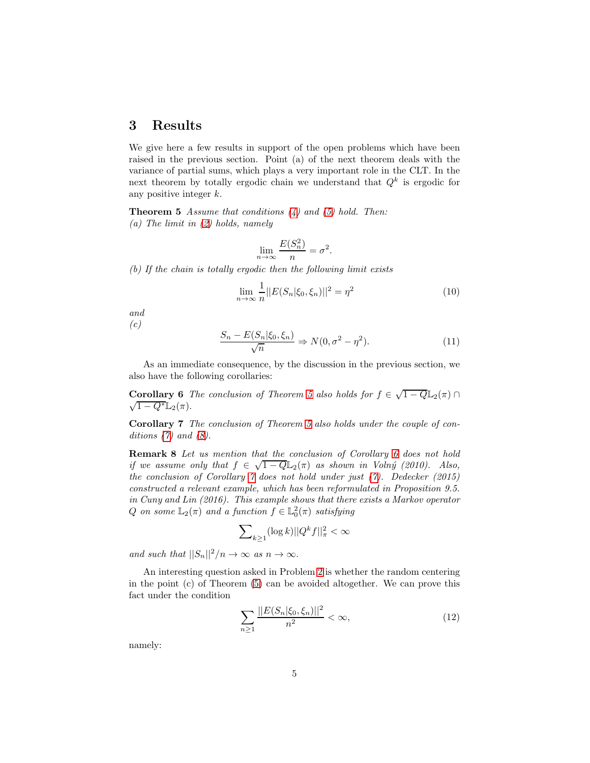## 3 Results

We give here a few results in support of the open problems which have been raised in the previous section. Point (a) of the next theorem deals with the variance of partial sums, which plays a very important role in the CLT. In the next theorem by totally ergodic chain we understand that  $Q<sup>k</sup>$  is ergodic for any positive integer k.

<span id="page-4-0"></span>Theorem 5 *Assume that conditions [\(4\)](#page-1-3) and [\(5\)](#page-2-0) hold. Then: (a) The limit in [\(2\)](#page-1-1) holds, namely*

$$
\lim_{n \to \infty} \frac{E(S_n^2)}{n} = \sigma^2
$$

*(b) If the chain is totally ergodic then the following limit exists*

<span id="page-4-5"></span>
$$
\lim_{n \to \infty} \frac{1}{n} ||E(S_n | \xi_0, \xi_n)||^2 = \eta^2
$$
\n(10)

*and (c)*

<span id="page-4-6"></span>
$$
\frac{S_n - E(S_n | \xi_0, \xi_n)}{\sqrt{n}} \Rightarrow N(0, \sigma^2 - \eta^2). \tag{11}
$$

.

<span id="page-4-1"></span>As an immediate consequence, by the discussion in the previous section, we also have the following corollaries:

Corollary 6 *The conclusion of Theorem [5](#page-4-0)* also holds for  $f \in \sqrt{1-Q} \mathbb{L}_2(\pi)$  $\sqrt{1-Q^*}\mathbb{L}_2(\pi).$ 

<span id="page-4-2"></span>Corollary 7 *The conclusion of Theorem [5](#page-4-0) also holds under the couple of conditions [\(7\)](#page-3-1) and [\(8\)](#page-3-2).*

Remark 8 *Let us mention that the conclusion of Corollary [6](#page-4-1) does not hold if we assume only that*  $f \in \sqrt{1-Q} \mathbb{L}_2(\pi)$  *as shown in Volný (2010). Also, the conclusion of Corollary [7](#page-4-2) does not hold under just [\(7\)](#page-3-1). Dedecker (2015) constructed a relevant example, which has been reformulated in Proposition 9.5. in Cuny and Lin (2016). This example shows that there exists a Markov operator*  $Q$  *on some*  $\mathbb{L}_2(\pi)$  *and a function*  $f \in \mathbb{L}^2_0(\pi)$  *satisfying* 

$$
\sum\nolimits_{k\geq 1}(\log k)||Q^{k}f||^{2}_{\pi}<\infty
$$

*and such that*  $||S_n||^2/n \to \infty$  *as*  $n \to \infty$ *.* 

An interesting question asked in Problem [2](#page-2-2) is whether the random centering in the point (c) of Theorem [\(5\)](#page-4-0) can be avoided altogether. We can prove this fact under the condition

<span id="page-4-3"></span>
$$
\sum_{n\geq 1} \frac{||E(S_n|\xi_0, \xi_n)||^2}{n^2} < \infty,\tag{12}
$$

<span id="page-4-4"></span>namely: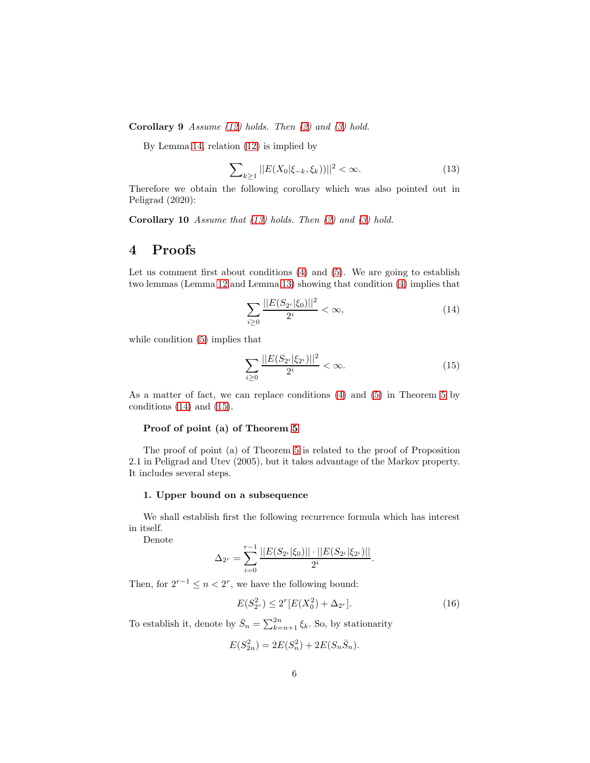Corollary 9 *Assume [\(12\)](#page-4-3) holds. Then [\(2\)](#page-1-1) and [\(3\)](#page-1-2) hold.*

By Lemma [14,](#page-9-0) relation [\(12\)](#page-4-3) is implied by

<span id="page-5-0"></span>
$$
\sum_{k\geq 1} ||E(X_0|\xi_{-k}, \xi_k))||^2 < \infty. \tag{13}
$$

Therefore we obtain the following corollary which was also pointed out in Peligrad (2020):

Corollary 10 *Assume that [\(13\)](#page-5-0) holds. Then [\(2\)](#page-1-1) and [\(3\)](#page-1-2) hold.*

# 4 Proofs

Let us comment first about conditions  $(4)$  and  $(5)$ . We are going to establish two lemmas (Lemma [12](#page-8-0) and Lemma [13\)](#page-9-1) showing that condition [\(4\)](#page-1-3) implies that

<span id="page-5-1"></span>
$$
\sum_{i\geq 0} \frac{||E(S_{2^i}|\xi_0)||^2}{2^i} < \infty,\tag{14}
$$

while condition [\(5\)](#page-2-0) implies that

<span id="page-5-2"></span>
$$
\sum_{i\geq 0} \frac{||E(S_{2^i}|\xi_{2^i})||^2}{2^i} < \infty. \tag{15}
$$

As a matter of fact, we can replace conditions [\(4\)](#page-1-3) and [\(5\)](#page-2-0) in Theorem [5](#page-4-0) by conditions  $(14)$  and  $(15)$ .

### Proof of point (a) of Theorem [5](#page-4-0)

The proof of point (a) of Theorem [5](#page-4-0) is related to the proof of Proposition 2.1 in Peligrad and Utev (2005), but it takes advantage of the Markov property. It includes several steps.

### 1. Upper bound on a subsequence

We shall establish first the following recurrence formula which has interest in itself.

Denote

$$
\Delta_{2^r} = \sum_{i=0}^{r-1} \frac{||E(S_{2^i}|\xi_0)|| \cdot ||E(S_{2^i}|\xi_{2^i})||}{2^i}.
$$

Then, for  $2^{r-1} \leq n < 2^r$ , we have the following bound:

<span id="page-5-3"></span>
$$
E(S_{2r}^2) \le 2^r [E(X_0^2) + \Delta_{2r}].
$$
\n(16)

To establish it, denote by  $\bar{S}_n = \sum_{k=n+1}^{2n} \xi_k$ . So, by stationarity

$$
E(S_{2n}^2) = 2E(S_n^2) + 2E(S_n\bar{S}_n).
$$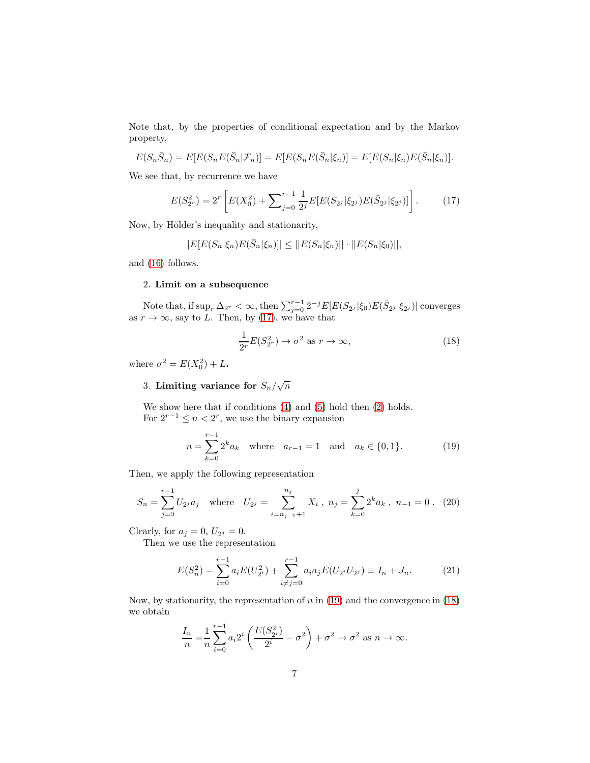Note that, by the properties of conditional expectation and by the Markov property,

$$
E(S_n\bar{S}_n) = E[E(S_nE(\bar{S}_n|\mathcal{F}_n)] = E[E(S_nE(\bar{S}_n|\xi_n)] = E[E(S_n|\xi_n)E(\bar{S}_n|\xi_n)].
$$

We see that, by recurrence we have

<span id="page-6-0"></span>
$$
E(S_{2r}^2) = 2^r \left[ E(X_0^2) + \sum_{j=0}^{r-1} \frac{1}{2^j} E[E(S_{2j}|\xi_{2j}) E(\bar{S}_{2j}|\xi_{2j})] \right].
$$
 (17)

Now, by Hölder's inequality and stationarity,

$$
|E[E(S_n|\xi_n)E(\bar{S}_n|\xi_n)]| \leq ||E(S_n|\xi_n)|| \cdot ||E(S_n|\xi_0)||,
$$

and [\(16\)](#page-5-3) follows.

#### 2. Limit on a subsequence

Note that, if  $\sup_r \Delta_{2^r} < \infty$ , then  $\sum_{j=0}^{r-1} 2^{-j} E[E(S_{2^j}|\xi_0)E(\bar{S}_{2^j}|\xi_{2^j})]$  converges as  $r \to \infty$ , say to L. Then, by [\(17\)](#page-6-0), we have that

<span id="page-6-2"></span>
$$
\frac{1}{2^r}E(S_{2^r}^2) \to \sigma^2 \text{ as } r \to \infty,
$$
\n(18)

where  $\sigma^2 = E(X_0^2) + L$ .

# 3. Limiting variance for  $S_n/\sqrt{n}$

We show here that if conditions [\(4\)](#page-1-3) and [\(5\)](#page-2-0) hold then [\(2\)](#page-1-1) holds. For  $2^{r-1} \leq n < 2^r$ , we use the binary expansion

<span id="page-6-1"></span>
$$
n = \sum_{k=0}^{r-1} 2^k a_k \quad \text{where} \quad a_{r-1} = 1 \quad \text{and} \quad a_k \in \{0, 1\}. \tag{19}
$$

Then, we apply the following representation

$$
S_n = \sum_{j=0}^{r-1} U_{2^j} a_j \quad \text{where} \quad U_{2^j} = \sum_{i=n_{j-1}+1}^{n_j} X_i \, , \ n_j = \sum_{k=0}^j 2^k a_k \, , \ n_{-1} = 0 \, . \tag{20}
$$

Clearly, for  $a_j = 0$ ,  $U_{2^j} = 0$ .

Then we use the representation

$$
E(S_n^2) = \sum_{i=0}^{r-1} a_i E(U_{2^i}^2) + \sum_{i \neq j=0}^{r-1} a_i a_j E(U_{2^i} U_{2^j}) \equiv I_n + J_n.
$$
 (21)

Now, by stationarity, the representation of  $n$  in [\(19\)](#page-6-1) and the convergence in [\(18\)](#page-6-2) we obtain

$$
\frac{I_n}{n} = \frac{1}{n} \sum_{i=0}^{r-1} a_i 2^i \left( \frac{E(S_{2^i}^2)}{2^i} - \sigma^2 \right) + \sigma^2 \to \sigma^2 \text{ as } n \to \infty.
$$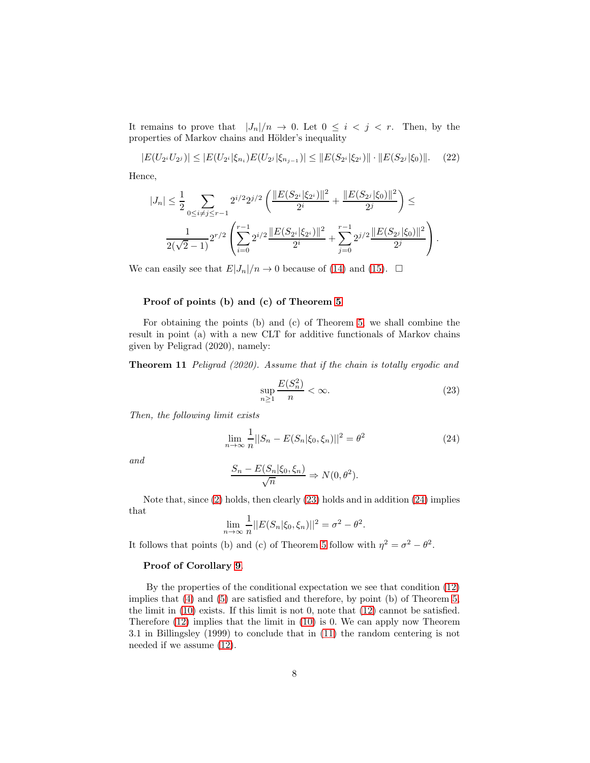It remains to prove that  $|J_n|/n \to 0$ . Let  $0 \leq i \leq j \leq r$ . Then, by the properties of Markov chains and Hölder's inequality

$$
|E(U_{2i}U_{2j})| \leq |E(U_{2i}|\xi_{n_i})E(U_{2j}|\xi_{n_{j-1}})| \leq ||E(S_{2i}|\xi_{2i})|| \cdot ||E(S_{2j}|\xi_0)||. \tag{22}
$$

Hence,

$$
|J_n| \leq \frac{1}{2} \sum_{0 \leq i \neq j \leq r-1} 2^{i/2} 2^{j/2} \left( \frac{\|E(S_{2^i}|\xi_{2^i})\|^2}{2^i} + \frac{\|E(S_{2^j}|\xi_0)\|^2}{2^j} \right) \leq
$$
  

$$
\frac{1}{2(\sqrt{2}-1)} 2^{r/2} \left( \sum_{i=0}^{r-1} 2^{i/2} \frac{\|E(S_{2^i}|\xi_{2^i})\|^2}{2^i} + \sum_{j=0}^{r-1} 2^{j/2} \frac{\|E(S_{2^j}|\xi_0)\|^2}{2^j} \right).
$$

We can easily see that  $E|J_n|/n \to 0$  because of [\(14\)](#page-5-1) and [\(15\)](#page-5-2).  $\Box$ 

### Proof of points (b) and (c) of Theorem [5](#page-4-0)

For obtaining the points (b) and (c) of Theorem [5,](#page-4-0) we shall combine the result in point (a) with a new CLT for additive functionals of Markov chains given by Peligrad (2020), namely:

Theorem 11 *Peligrad (2020). Assume that if the chain is totally ergodic and*

<span id="page-7-0"></span>
$$
\sup_{n\geq 1}\frac{E(S_n^2)}{n}<\infty. \tag{23}
$$

*Then, the following limit exists*

<span id="page-7-1"></span>
$$
\lim_{n \to \infty} \frac{1}{n} ||S_n - E(S_n | \xi_0, \xi_n)||^2 = \theta^2
$$
\n(24)

*and*

$$
\frac{S_n - E(S_n | \xi_0, \xi_n)}{\sqrt{n}} \Rightarrow N(0, \theta^2).
$$

Note that, since [\(2\)](#page-1-1) holds, then clearly [\(23\)](#page-7-0) holds and in addition [\(24\)](#page-7-1) implies that

$$
\lim_{n \to \infty} \frac{1}{n} ||E(S_n | \xi_0, \xi_n)||^2 = \sigma^2 - \theta^2.
$$

It follows that points (b) and (c) of Theorem [5](#page-4-0) follow with  $\eta^2 = \sigma^2 - \theta^2$ .

### Proof of Corollary [9](#page-4-4).

By the properties of the conditional expectation we see that condition [\(12\)](#page-4-3) implies that [\(4\)](#page-1-3) and [\(5\)](#page-2-0) are satisfied and therefore, by point (b) of Theorem [5,](#page-4-0) the limit in  $(10)$  exists. If this limit is not 0, note that  $(12)$  cannot be satisfied. Therefore [\(12\)](#page-4-3) implies that the limit in [\(10\)](#page-4-5) is 0. We can apply now Theorem 3.1 in Billingsley (1999) to conclude that in [\(11\)](#page-4-6) the random centering is not needed if we assume [\(12\)](#page-4-3).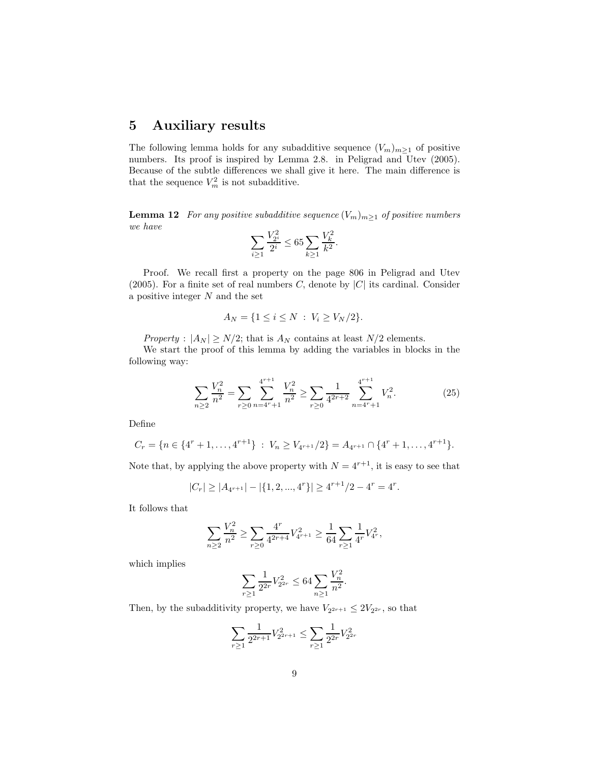# 5 Auxiliary results

The following lemma holds for any subadditive sequence  $(V_m)_{m\geq 1}$  of positive numbers. Its proof is inspired by Lemma 2.8. in Peligrad and Utev (2005). Because of the subtle differences we shall give it here. The main difference is that the sequence  $V_m^2$  is not subadditive.

<span id="page-8-0"></span>**Lemma 12** *For any positive subadditive sequence*  $(V_m)_{m\geq 1}$  *of positive numbers we have*

$$
\sum_{i\geq 1} \frac{V_{2^i}^2}{2^i} \leq 65 \sum_{k\geq 1} \frac{V_k^2}{k^2}.
$$

Proof. We recall first a property on the page 806 in Peligrad and Utev (2005). For a finite set of real numbers C, denote by  $|C|$  its cardinal. Consider a positive integer  $N$  and the set

$$
A_N = \{1 \le i \le N \; : \; V_i \ge V_N/2\}.
$$

*Property* :  $|A_N| \ge N/2$ ; that is  $A_N$  contains at least  $N/2$  elements.

We start the proof of this lemma by adding the variables in blocks in the following way:

$$
\sum_{n\geq 2} \frac{V_n^2}{n^2} = \sum_{r\geq 0} \sum_{n=4^r+1}^{4^{r+1}} \frac{V_n^2}{n^2} \geq \sum_{r\geq 0} \frac{1}{4^{2r+2}} \sum_{n=4^r+1}^{4^{r+1}} V_n^2.
$$
 (25)

Define

$$
C_r = \{ n \in \{4^r + 1, \ldots, 4^{r+1}\} : V_n \ge V_{4^{r+1}}/2 \} = A_{4^{r+1}} \cap \{4^r + 1, \ldots, 4^{r+1}\}.
$$

Note that, by applying the above property with  $N = 4^{r+1}$ , it is easy to see that

$$
|C_r| \ge |A_{4^{r+1}}| - |\{1, 2, ..., 4^r\}| \ge 4^{r+1}/2 - 4^r = 4^r.
$$

It follows that

$$
\sum_{n\geq 2}\frac{V_n^2}{n^2}\geq \sum_{r\geq 0}\frac{4^r}{4^{2r+4}}V_{4^{r+1}}^2\geq \frac{1}{64}\sum_{r\geq 1}\frac{1}{4^r}V_{4^r}^2,
$$

which implies

$$
\sum_{r\geq 1} \frac{1}{2^{2r}} V_{2^{2r}}^2 \leq 64 \sum_{n\geq 1} \frac{V_n^2}{n^2}.
$$

Then, by the subadditivity property, we have  $V_{2^{2r+1}} \leq 2V_{2^{2r}}$ , so that

$$
\sum_{r\geq 1} \frac{1}{2^{2r+1}} V_{2^{2r+1}}^2 \leq \sum_{r\geq 1} \frac{1}{2^{2r}} V_{2^{2r}}^2
$$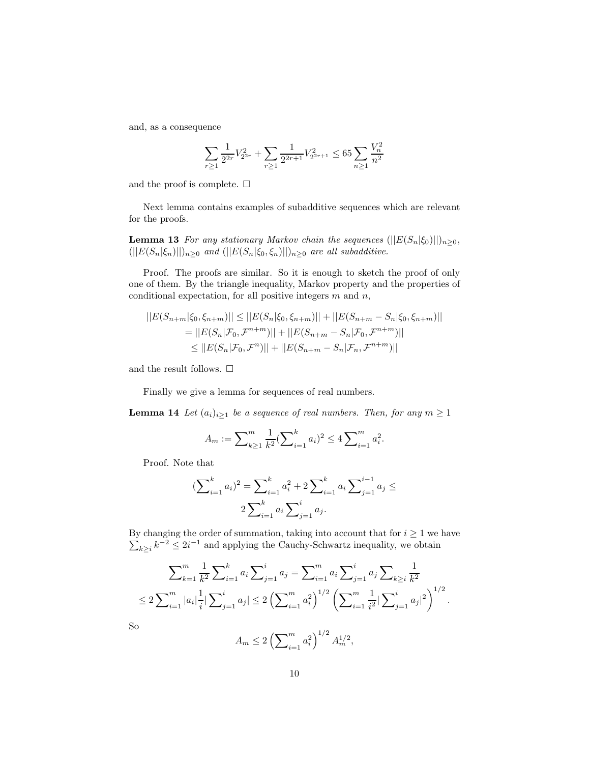and, as a consequence

$$
\sum_{r\geq 1}\frac{1}{2^{2r}}V_{2^{2r}}^2+\sum_{r\geq 1}\frac{1}{2^{2r+1}}V_{2^{2r+1}}^2\leq 65\sum_{n\geq 1}\frac{V_n^2}{n^2}
$$

and the proof is complete.  $\Box$ 

<span id="page-9-1"></span>Next lemma contains examples of subadditive sequences which are relevant for the proofs.

**Lemma 13** *For any stationary Markov chain the sequences*  $(||E(S_n|\xi_0)||)_{n\geq 0}$ ,  $(||E(S_n|\xi_n)||)_{n\geq 0}$  *and*  $(||E(S_n|\xi_0, \xi_n)||)_{n\geq 0}$  *are all subadditive.* 

Proof. The proofs are similar. So it is enough to sketch the proof of only one of them. By the triangle inequality, Markov property and the properties of conditional expectation, for all positive integers  $m$  and  $n$ ,

$$
||E(S_{n+m}|\xi_0, \xi_{n+m})|| \le ||E(S_n|\xi_0, \xi_{n+m})|| + ||E(S_{n+m} - S_n|\xi_0, \xi_{n+m})||
$$
  
=  $||E(S_n|\mathcal{F}_0, \mathcal{F}^{n+m})|| + ||E(S_{n+m} - S_n|\mathcal{F}_0, \mathcal{F}^{n+m})||$   
 $\le ||E(S_n|\mathcal{F}_0, \mathcal{F}^n)|| + ||E(S_{n+m} - S_n|\mathcal{F}_n, \mathcal{F}^{n+m})||$ 

and the result follows.  $\square$ 

<span id="page-9-0"></span>Finally we give a lemma for sequences of real numbers.

**Lemma 14** *Let*  $(a_i)_{i\geq 1}$  *be a sequence of real numbers. Then, for any*  $m \geq 1$ 

$$
A_m := \sum_{k \ge 1}^m \frac{1}{k^2} (\sum_{i=1}^k a_i)^2 \le 4 \sum_{i=1}^m a_i^2.
$$

Proof. Note that

$$
\left(\sum_{i=1}^{k} a_i\right)^2 = \sum_{i=1}^{k} a_i^2 + 2 \sum_{i=1}^{k} a_i \sum_{j=1}^{i-1} a_j \le
$$
  

$$
2 \sum_{i=1}^{k} a_i \sum_{j=1}^{i} a_j.
$$

 $\sum$ By changing the order of summation, taking into account that for  $i \geq 1$  we have  $k \geq i$ <sup> $k^{-2} \leq 2i^{-1}$  and applying the Cauchy-Schwartz inequality, we obtain</sup>

$$
\sum_{k=1}^{m} \frac{1}{k^2} \sum_{i=1}^{k} a_i \sum_{j=1}^{i} a_j = \sum_{i=1}^{m} a_i \sum_{j=1}^{i} a_j \sum_{k \ge i} \frac{1}{k^2}
$$
  
\n
$$
\le 2 \sum_{i=1}^{m} |a_i| \frac{1}{i} |\sum_{j=1}^{i} a_j| \le 2 \left( \sum_{i=1}^{m} a_i^2 \right)^{1/2} \left( \sum_{i=1}^{m} \frac{1}{i^2} |\sum_{j=1}^{i} a_j|^2 \right)^{1/2}.
$$

So

$$
A_m \le 2\left(\sum\nolimits_{i=1}^m a_i^2\right)^{1/2} A_m^{1/2},
$$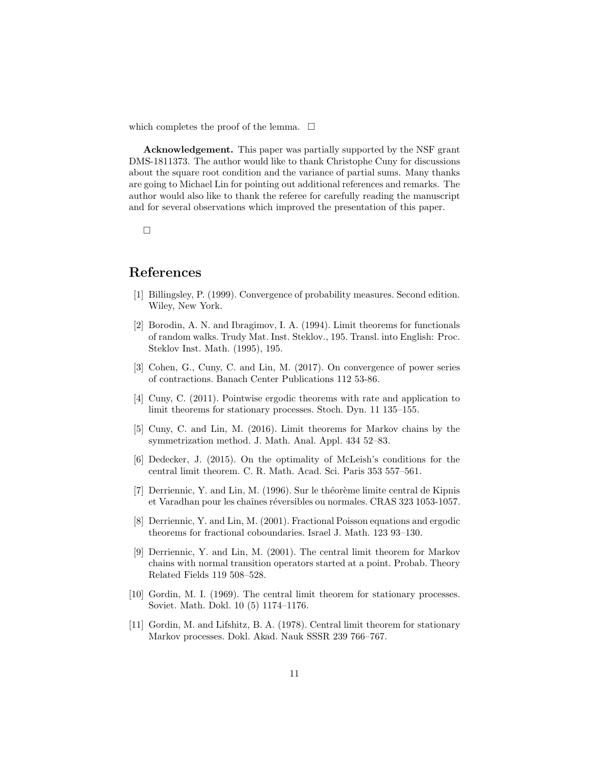which completes the proof of the lemma.  $\square$ 

Acknowledgement. This paper was partially supported by the NSF grant DMS-1811373. The author would like to thank Christophe Cuny for discussions about the square root condition and the variance of partial sums. Many thanks are going to Michael Lin for pointing out additional references and remarks. The author would also like to thank the referee for carefully reading the manuscript and for several observations which improved the presentation of this paper.

 $\Box$ 

# References

- [1] Billingsley, P. (1999). Convergence of probability measures. Second edition. Wiley, New York.
- [2] Borodin, A. N. and Ibragimov, I. A. (1994). Limit theorems for functionals of random walks. Trudy Mat. Inst. Steklov., 195. Transl. into English: Proc. Steklov Inst. Math. (1995), 195.
- [3] Cohen, G., Cuny, C. and Lin, M. (2017). On convergence of power series of contractions. Banach Center Publications 112 53-86.
- [4] Cuny, C. (2011). Pointwise ergodic theorems with rate and application to limit theorems for stationary processes. Stoch. Dyn. 11 135–155.
- [5] Cuny, C. and Lin, M. (2016). Limit theorems for Markov chains by the symmetrization method. J. Math. Anal. Appl. 434 52–83.
- [6] Dedecker, J. (2015). On the optimality of McLeish's conditions for the central limit theorem. C. R. Math. Acad. Sci. Paris 353 557–561.
- [7] Derriennic, Y. and Lin, M.  $(1996)$ . Sur le théorème limite central de Kipnis et Varadhan pour les chaînes réversibles ou normales. CRAS 323 1053-1057.
- <span id="page-10-1"></span><span id="page-10-0"></span>[8] Derriennic, Y. and Lin, M. (2001). Fractional Poisson equations and ergodic theorems for fractional coboundaries. Israel J. Math. 123 93–130.
- [9] Derriennic, Y. and Lin, M. (2001). The central limit theorem for Markov chains with normal transition operators started at a point. Probab. Theory Related Fields 119 508–528.
- [10] Gordin, M. I. (1969). The central limit theorem for stationary processes. Soviet. Math. Dokl. 10 (5) 1174–1176.
- [11] Gordin, M. and Lifshitz, B. A. (1978). Central limit theorem for stationary Markov processes. Dokl. Akad. Nauk SSSR 239 766–767.